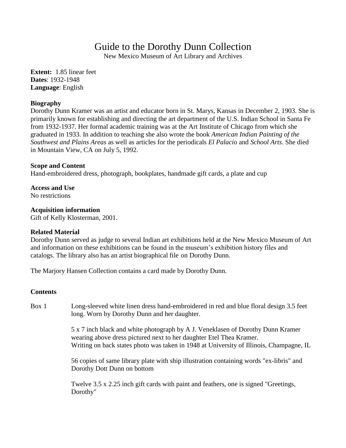# Guide to the Dorothy Dunn Collection

New Mexico Museum of Art Library and Archives

**Extent:** 1.85 linear feet **Dates**: 1932-1948 **Language**: English

### **Biography**

Dorothy Dunn Kramer was an artist and educator born in St. Marys, Kansas in December 2, 1903. She is primarily known for establishing and directing the art department of the U.S. Indian School in Santa Fe from 1932-1937. Her formal academic training was at the Art Institute of Chicago from which she graduated in 1933. In addition to teaching she also wrote the book *American Indian Painting of the Southwest and Plains Areas* as well as articles for the periodicals *El Palacio* and *School Arts*. She died in Mountain View, CA on July 5, 1992.

## **Scope and Content**

Hand-embroidered dress, photograph, bookplates, handmade gift cards, a plate and cup

**Access and Use**  No restrictions

### **Acquisition information**

Gift of Kelly Klosterman, 2001.

### **Related Material**

Dorothy Dunn served as judge to several Indian art exhibitions held at the New Mexico Museum of Art and information on these exhibitions can be found in the museum's exhibition history files and catalogs. The library also has an artist biographical file on Dorothy Dunn.

Th[e Marjory Hansen Collection c](http://nmartmuseum.org/assets/files/Finding%20Aids/Marjory%20Hansen%20Collection%20finding%20aid.pdf)ontains a card made by Dorothy Dunn.

### **Contents**

Box 1 Long-sleeved white linen dress hand-embroidered in red and blue floral design 3.5 feet long. Worn by Dorothy Dunn and her daughter.

> 5 x 7 inch black and white photograph by A J. Veneklasen of Dorothy Dunn Kramer wearing above dress pictured next to her daughter Etel Thea Kramer. Writing on back states photo was taken in 1948 at University of Illinois, Champagne, IL

56 copies of same library plate with ship illustration containing words "ex-libris" and Dorothy Dott Dunn on bottom

Twelve 3.5 x 2.25 inch gift cards with paint and feathers, one is signed "Greetings, Dorothy"